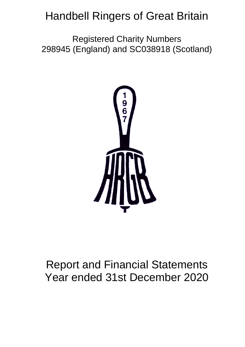# Handbell Ringers of Great Britain

Registered Charity Numbers 298945 (England) and SC038918 (Scotland)



# Report and Financial Statements Year ended 31st December 2020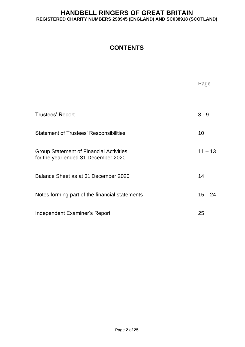## **CONTENTS**

|                                                                                       | Page      |
|---------------------------------------------------------------------------------------|-----------|
| Trustees' Report                                                                      | $3 - 9$   |
| <b>Statement of Trustees' Responsibilities</b>                                        | 10        |
| <b>Group Statement of Financial Activities</b><br>for the year ended 31 December 2020 | $11 - 13$ |
| Balance Sheet as at 31 December 2020                                                  | 14        |
| Notes forming part of the financial statements                                        | $15 - 24$ |
| Independent Examiner's Report                                                         | 25        |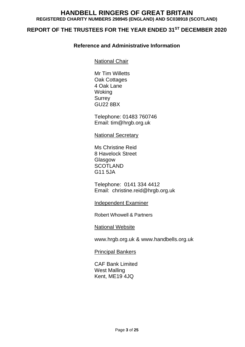## **REPORT OF THE TRUSTEES FOR THE YEAR ENDED 31ST DECEMBER 2020**

## **Reference and Administrative Information**

National Chair

Mr Tim Willetts Oak Cottages 4 Oak Lane Woking Surrey GU22 8BX

Telephone: 01483 760746 Email: tim@hrgb.org.uk

National Secretary

Ms Christine Reid 8 Havelock Street Glasgow **SCOTLAND** G11 5JA

Telephone: 0141 334 4412 Email: christine.reid@hrgb.org.uk

Independent Examiner

Robert Whowell & Partners

National Website

www.hrgb.org.uk & www.handbells.org.uk

Principal Bankers

CAF Bank Limited West Malling Kent, ME19 4JQ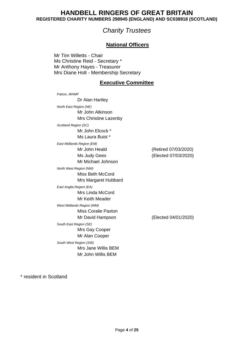# *Charity Trustees*

## **National Officers**

Mr Tim Willetts - Chair Ms Christine Reid - Secretary \* Mr Anthony Hayes - Treasurer Mrs Diane Holt - Membership Secretary

## **Executive Committee**

*Patron, WHMF* Dr Alan Hartley *North East Region (NE)* Mr John Atkinson Mrs Christine Lazenby *Scotland Region (SC)* Mr John Elcock \* Ms Laura Buist \* *East Midlands Region (EM)* Mr John Heald (Retired 07/03/2020) Ms Judy Gees (Elected 07/03/2020) Mr Michael Johnson *North West Region (NW)* Miss Beth McCord Mrs Margaret Hubbard *East Anglia Region (EA)* Mrs Linda McCord Mr Keith Meader *West Midlands Region (WM)* Miss Coralie Paxton Mr David Hampson (Elected 04/01/2020) *South East Region (SE)* Mrs Gay Cooper Mr Alan Cooper *South West Region (SW)* Mrs Jane Willis BEM Mr John Willis BEM

\* resident in Scotland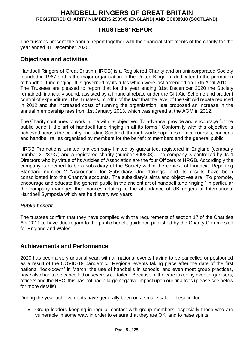## **TRUSTEES' REPORT**

The trustees present the annual report together with the financial statements of the charity for the year ended 31 December 2020.

## **Objectives and activities**

Handbell Ringers of Great Britain (HRGB) is a Registered Charity and an unincorporated Society founded in 1967 and is the major organisation in the United Kingdom dedicated to the promotion of handbell tune ringing. It is governed by its rules which were last amended on 17th April 2010. The Trustees are pleased to report that for the year ending 31st December 2020 the Society remained financially sound, assisted by a financial rebate under the Gift Aid Scheme and prudent control of expenditure. The Trustees, mindful of the fact that the level of the Gift Aid rebate reduced in 2012 and the increased costs of running the organisation, last proposed an increase in the annual membership fees from 1st January 2013, which was agreed at the AGM in 2012.

The Charity continues to work in line with its objective: 'To advance, provide and encourage for the public benefit, the art of handbell tune ringing in all its forms.' Conformity with this objective is achieved across the country, including Scotland, through workshops, residential courses, concerts and handbell rallies organised by members for the benefit of members and the general public.

HRGB Promotions Limited is a company limited by guarantee, registered in England (company number 2128737) and a registered charity (number 800808). The company is controlled by its 4 Directors who by virtue of its Articles of Association are the four Officers of HRGB. Accordingly the company is deemed to be a subsidiary of the Society within the context of Financial Reporting Standard number 2 "Accounting for Subsidiary Undertakings" and its results have been consolidated into the Charity's accounts. The subsidiary's aims and objectives are: 'To promote, encourage and educate the general public in the ancient art of handbell tune ringing.' In particular the company manages the finances relating to the attendance of UK ringers at International Handbell Symposia which are held every two years.

#### *Public benefit*

The trustees confirm that they have complied with the requirements of section 17 of the Charities Act 2011 to have due regard to the public benefit guidance published by the Charity Commission for England and Wales.

### **Achievements and Performance**

2020 has been a very unusual year, with all national events having to be cancelled or postponed as a result of the COVID-19 pandemic. Regional events taking place after the date of the first national "lock-down" in March, the use of handbells in schools, and even most group practices, have also had to be cancelled or severely curtailed. Because of the care taken by event organisers, officers and the NEC, this has not had a large negative impact upon our finances (please see below for more details).

During the year achievements have generally been on a small scale. These include:-

• Group leaders keeping in regular contact with group members, especially those who are vulnerable in some way, in order to ensure that they are OK, and to raise spirits.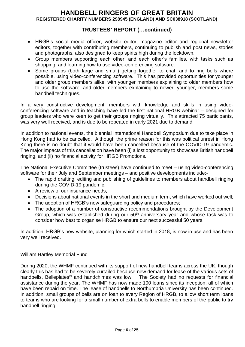## **TRUSTEES' REPORT (…continued)**

- HRGB's social media officer, website editor, magazine editor and regional newsletter editors, together with contributing members, continuing to publish and post news, stories and photographs, also designed to keep spirits high during the lockdown.
- Group members supporting each other, and each other's families, with tasks such as shopping, and learning how to use video-conferencing software.
- Some groups (both large and small) getting together to chat, and to ring bells where possible, using video-conferencing software. This has provided opportunities for younger and older group members alike, with younger members explaining to older members how to use the software, and older members explaining to newer, younger, members some handbell techniques.

In a very constructive development, members with knowledge and skills in using videoconferencing software and in teaching have led the first national HRGB webinar – designed for group leaders who were keen to get their groups ringing virtually. This attracted 75 participants, was very well received, and is due to be repeated in early 2021 due to demand.

In addition to national events, the biennial International Handbell Symposium due to take place in Hong Kong had to be cancelled. Although the prime reason for this was political unrest in Hong Kong there is no doubt that it would have been cancelled because of the COVID-19 pandemic. The major impacts of this cancellation have been (i) a lost opportunity to showcase British handbell ringing, and (ii) no financial activity for HRGB Promotions.

The National Executive Committee (trustees) have continued to meet – using video-conferencing software for their July and September meetings – and positive developments include:-

- The rapid drafting, editing and publishing of guidelines to members about handbell ringing during the COVID-19 pandemic;
- A review of our insurance needs:
- Decisions about national events in the short and medium term, which have worked out well;
- The adoption of HRGB's new safeguarding policy and procedures;
- The adoption of a number of constructive recommendations brought by the Development Group, which was established during our  $50<sup>th</sup>$  anniversary year and whose task was to consider how best to organise HRGB to ensure our next successful 50 years.

In addition, HRGB's new website, planning for which started in 2018, is now in use and has been very well received.

#### William Hartley Memorial Fund

During 2020, the WHMF continued with its support of new handbell teams across the UK, though clearly this has had to be severely curtailed because new demand for lease of the various sets of handbells, Belleplates<sup>®</sup> and handchimes was low. The Society had no requests for financial assistance during the year. The WHMF has now made 100 loans since its inception, all of which have been repaid on time. The lease of handbells to Northumbria University has been continued. In addition, small groups of bells are on loan to every Region of HRGB, to allow short term loans to teams who are looking for a small number of extra bells to enable members of the public to try handbell ringing.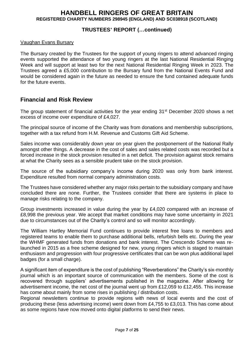## **TRUSTEES' REPORT (…continued)**

#### Vaughan Evans Bursary

The Bursary created by the Trustees for the support of young ringers to attend advanced ringing events supported the attendance of two young ringers at the last National Residential Ringing Week and will support at least two for the next National Residential Ringing Week in 2023. The Trustees agreed a £5,000 contribution to the Bursary fund from the National Events Fund and would be considered again in the future as needed to ensure the fund contained adequate funds for the future events.

## **Financial and Risk Review**

The group statement of financial activities for the year ending 31<sup>st</sup> December 2020 shows a net excess of income over expenditure of £4,027.

The principal source of income of the Charity was from donations and membership subscriptions, together with a tax refund from H.M. Revenue and Customs Gift Aid Scheme.

Sales income was considerably down year on year given the postponement of the National Rally amongst other things. A decrease in the cost of sales and sales related costs was recorded but a forced increase in the stock provision resulted in a net deficit. The provision against stock remains at what the Charity sees as a sensible prudent take on the stock provision.

The source of the subsidiary company's income during 2020 was only from bank interest. Expenditure resulted from normal company administration costs.

The Trustees have considered whether any major risks pertain to the subsidiary company and have concluded there are none. Further, the Trustees consider that there are systems in place to manage risks relating to the company.

Group investments increased in value during the year by £4,020 compared with an increase of £8,998 the previous year. We accept that market conditions may have some uncertainty in 2021 due to circumstances out of the Charity's control and so will monitor accordingly.

The William Hartley Memorial Fund continues to provide interest free loans to members and registered teams to enable them to purchase additional bells, refurbish bells etc. During the year the WHMF generated funds from donations and bank interest. The Crescendo Scheme was relaunched in 2015 as a free scheme designed for new, young ringers which is staged to maintain enthusiasm and progression with four progressive certificates that can be won plus additional lapel badges (for a small charge).

A significant item of expenditure is the cost of publishing "Reverberations" the Charity's six-monthly journal which is an important source of communication with the members. Some of the cost is recovered through suppliers' advertisements published in the magazine. After allowing for advertisement income, the net cost of the journal went up from £12,059 to £12,455. This increase has come about mainly from some rises in publishing / distribution costs.

Regional newsletters continue to provide regions with news of local events and the cost of producing these (less advertising income) went down from £4,755 to £3,013. This has come about as some regions have now moved onto digital platforms to send their news.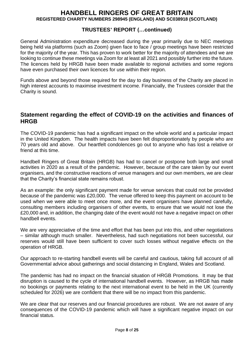## **TRUSTEES' REPORT (…continued)**

General Administration expenditure decreased during the year primarily due to NEC meetings being held via platforms (such as Zoom) given face to face / group meetings have been restricted for the majority of the year. This has proven to work better for the majority of attendees and we are looking to continue these meetings via Zoom for at least all 2021 and possibly further into the future. The licences held by HRGB have been made available to regional activities and some regions have even purchased their own licences for use within their region.

Funds above and beyond those required for the day to day business of the Charity are placed in high interest accounts to maximise investment income. Financially, the Trustees consider that the Charity is sound.

## **Statement regarding the effect of COVID-19 on the activities and finances of HRGB**

The COVID-19 pandemic has had a significant impact on the whole world and a particular impact in the United Kingdom. The health impacts have been felt disproportionately by people who are 70 years old and above. Our heartfelt condolences go out to anyone who has lost a relative or friend at this time.

Handbell Ringers of Great Britain (HRGB) has had to cancel or postpone both large and small activities in 2020 as a result of the pandemic. However, because of the care taken by our event organisers, and the constructive reactions of venue managers and our own members, we are clear that the Charity's financial state remains robust.

As an example: the only significant payment made for venue services that could not be provided because of the pandemic was £20,000. The venue offered to keep this payment on account to be used when we were able to meet once more, and the event organisers have planned carefully, consulting members including organisers of other events, to ensure that we would not lose the £20,000 and, in addition, the changing date of the event would not have a negative impact on other handbell events.

We are very appreciative of the time and effort that has been put into this, and other negotiations – similar although much smaller. Nevertheless, had such negotiations not been successful, our reserves would still have been sufficient to cover such losses without negative effects on the operation of HRGB.

Our approach to re-starting handbell events will be careful and cautious, taking full account of all Governmental advice about gatherings and social distancing in England, Wales and Scotland.

The pandemic has had no impact on the financial situation of HRGB Promotions. It may be that disruption is caused to the cycle of international handbell events. However, as HRGB has made no bookings or payments relating to the next international event to be held in the UK (currently scheduled for 2026) we are confident that there will be no impact from this pandemic.

We are clear that our reserves and our financial procedures are robust. We are not aware of any consequences of the COVID-19 pandemic which will have a significant negative impact on our financial status.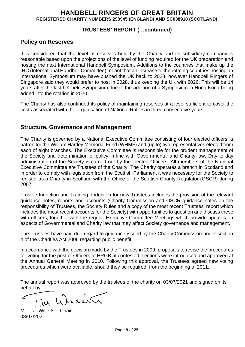### **TRUSTEES' REPORT (…continued)**

## **Policy on Reserves**

It is considered that the level of reserves held by the Charity and its subsidiary company is reasonable based upon the projections of the level of funding required for the UK preparation and hosting the next International Handbell Symposium. Additions to the countries that make up the IHC (International Handbell Committee) meant that an increase to the rotating countries hosting an International Symposium may have pushed the UK back to 2028, however Handbell Ringers of Singapore said they would prefer to host in 2028, thus keeping the UK with 2026. This will be 14 years after the last UK held Symposium due to the addition of a Symposium in Hong Kong being added into the rotation in 2020.

The Charity has also continued its policy of maintaining reserves at a level sufficient to cover the costs associated with the organisation of National Rallies in three consecutive years.

## **Structure, Governance and Management**

The Charity is governed by a National Executive Committee consisting of four elected officers, a patron for the William Hartley Memorial Fund (WHMF) and (up to) two representatives elected from each of eight branches. The Executive Committee is responsible for the prudent management of the Society and determination of policy in line with Governmental and Charity law. Day to day administration of the Society is carried out by the elected Officers. All members of the National Executive Committee are Trustees of the Charity. The Charity operates a branch in Scotland and in order to comply with legislation from the Scottish Parliament it was necessary for the Society to register as a Charity in Scotland with the Office of the Scottish Charity Regulator (OSCR) during 2007.

Trustee Induction and Training: Induction for new Trustees includes the provision of the relevant guidance notes, reports and accounts (Charity Commission and OSCR guidance notes on the responsibility of Trustees, the Society Rules and a copy of the most recent Trustees' report which includes the most recent accounts for the Society) with opportunities to question and discuss these with officers, together with the regular Executive Committee Meetings which provide updates on aspects of Governmental and Charity law that may affect Society governance and management.

The Trustees have paid due regard to guidance issued by the Charity Commission under section 4 of the Charities Act 2006 regarding public benefit.

In accordance with the decision made by the Trustees in 2009, proposals to revise the procedures for voting for the post of Officers of HRGB at contested elections were introduced and approved at the Annual General Meeting in 2010. Following this approval, the Trustees agreed new voting procedures which were available, should they be required, from the beginning of 2011.

The annual report was approved by the trustees of the charity on 03/07/2021 and signed on its behalf by:

Tim Wusser ╭

Mr T. J. Willetts – Chair 03/07/2021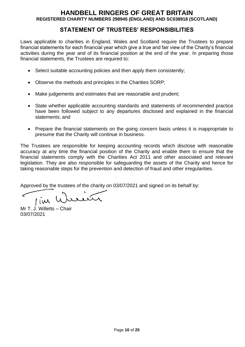## **STATEMENT OF TRUSTEES' RESPONSIBILITIES**

Laws applicable to charities in England, Wales and Scotland require the Trustees to prepare financial statements for each financial year which give a true and fair view of the Charity's financial activities during the year and of its financial position at the end of the year. In preparing those financial statements, the Trustees are required to:

- Select suitable accounting policies and then apply them consistently;
- Observe the methods and principles in the Charities SORP;
- Make judgements and estimates that are reasonable and prudent;
- State whether applicable accounting standards and statements of recommended practice have been followed subject to any departures disclosed and explained in the financial statements; and
- Prepare the financial statements on the going concern basis unless it is inappropriate to presume that the Charity will continue in business.

The Trustees are responsible for keeping accounting records which disclose with reasonable accuracy at any time the financial position of the Charity and enable them to ensure that the financial statements comply with the Charities Act 2011 and other associated and relevant legislation. They are also responsible for safeguarding the assets of the Charity and hence for taking reasonable steps for the prevention and detection of fraud and other irregularities.

Approved by the trustees of the charity on 03/07/2021 and signed on its behalf by:

سمح rain  $I(\omega)$ 

Mr T. J. Willetts – Chair 03/07/2021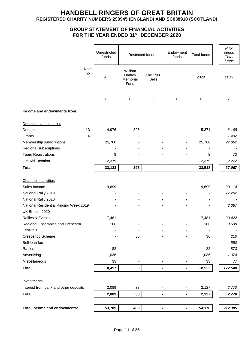#### **GROUP STATEMENT OF FINANCIAL ACTIVITIES FOR THE YEAR ENDED 31ST DECEMBER 2020**

| Note<br>William<br>no<br>The 1900<br>Hartley<br>All<br>2020<br>2019<br><b>Bells</b><br>Memorial<br>Fund<br>£<br>£<br>£<br>£<br>£<br>£<br>Income and endowments from:<br>Donations and legacies<br>Donations<br>13<br>4,976<br>395<br>5,371<br>6,168<br>14<br>Grants<br>1,492<br>Membership subscriptions<br>25,760<br>25,760<br>27,062<br>Regional subscriptions<br><b>Team Registrations</b><br>8<br>8<br>73<br><b>Gift Aid Taxation</b><br>2,379<br>2,379<br>2,272<br>33,123<br>33,518<br>395<br>37,067<br><b>Total</b><br>$\blacksquare$<br>$\blacksquare$<br>Charitable activities<br>Sales Income<br>9,699<br>9,699<br>23,114<br>National Rally 2019<br>77,202<br>National Rally 2020<br>National Residential Ringing Week 2019<br>42,387<br>UK Bronze 2020<br>Rallies & Events<br>7,481<br>7,481<br>23,422<br>166<br>Regional Ensembles and Orchestra<br>166<br>3,639<br>Festivals<br>210<br>Crescendo Scheme<br>36<br>36<br>Bell loan fee<br>550<br>Raffles<br>873<br>82<br>82<br>1,036<br>Advertising<br>1,036<br>1,074<br>Miscellaneous<br>33<br>33<br>77<br>18,497<br>18,533<br>172,548<br><b>Total</b><br>36<br>۰<br>Investments<br>Interest from bank and other deposits<br>2,089<br>38<br>2,127<br>2,770<br>$\overline{\phantom{0}}$<br>$\overline{\phantom{a}}$<br><b>Total</b><br>2,089<br>38<br>2,127<br>2,770<br>$\blacksquare$<br>$\qquad \qquad \blacksquare$<br>53,709<br>54,178<br>212,385<br>Total Income and endowments:<br>469<br>٠<br>- |  | Unrestricted<br>funds | Restricted funds | Endowment<br>funds | <b>Total funds</b> | Prior<br>period<br>Total<br>funds |
|------------------------------------------------------------------------------------------------------------------------------------------------------------------------------------------------------------------------------------------------------------------------------------------------------------------------------------------------------------------------------------------------------------------------------------------------------------------------------------------------------------------------------------------------------------------------------------------------------------------------------------------------------------------------------------------------------------------------------------------------------------------------------------------------------------------------------------------------------------------------------------------------------------------------------------------------------------------------------------------------------------------------------------------------------------------------------------------------------------------------------------------------------------------------------------------------------------------------------------------------------------------------------------------------------------------------------------------------------------------------------------------------------------------------------------------------------------------|--|-----------------------|------------------|--------------------|--------------------|-----------------------------------|
|                                                                                                                                                                                                                                                                                                                                                                                                                                                                                                                                                                                                                                                                                                                                                                                                                                                                                                                                                                                                                                                                                                                                                                                                                                                                                                                                                                                                                                                                  |  |                       |                  |                    |                    |                                   |
|                                                                                                                                                                                                                                                                                                                                                                                                                                                                                                                                                                                                                                                                                                                                                                                                                                                                                                                                                                                                                                                                                                                                                                                                                                                                                                                                                                                                                                                                  |  |                       |                  |                    |                    |                                   |
|                                                                                                                                                                                                                                                                                                                                                                                                                                                                                                                                                                                                                                                                                                                                                                                                                                                                                                                                                                                                                                                                                                                                                                                                                                                                                                                                                                                                                                                                  |  |                       |                  |                    |                    |                                   |
|                                                                                                                                                                                                                                                                                                                                                                                                                                                                                                                                                                                                                                                                                                                                                                                                                                                                                                                                                                                                                                                                                                                                                                                                                                                                                                                                                                                                                                                                  |  |                       |                  |                    |                    |                                   |
|                                                                                                                                                                                                                                                                                                                                                                                                                                                                                                                                                                                                                                                                                                                                                                                                                                                                                                                                                                                                                                                                                                                                                                                                                                                                                                                                                                                                                                                                  |  |                       |                  |                    |                    |                                   |
|                                                                                                                                                                                                                                                                                                                                                                                                                                                                                                                                                                                                                                                                                                                                                                                                                                                                                                                                                                                                                                                                                                                                                                                                                                                                                                                                                                                                                                                                  |  |                       |                  |                    |                    |                                   |
|                                                                                                                                                                                                                                                                                                                                                                                                                                                                                                                                                                                                                                                                                                                                                                                                                                                                                                                                                                                                                                                                                                                                                                                                                                                                                                                                                                                                                                                                  |  |                       |                  |                    |                    |                                   |
|                                                                                                                                                                                                                                                                                                                                                                                                                                                                                                                                                                                                                                                                                                                                                                                                                                                                                                                                                                                                                                                                                                                                                                                                                                                                                                                                                                                                                                                                  |  |                       |                  |                    |                    |                                   |
|                                                                                                                                                                                                                                                                                                                                                                                                                                                                                                                                                                                                                                                                                                                                                                                                                                                                                                                                                                                                                                                                                                                                                                                                                                                                                                                                                                                                                                                                  |  |                       |                  |                    |                    |                                   |
|                                                                                                                                                                                                                                                                                                                                                                                                                                                                                                                                                                                                                                                                                                                                                                                                                                                                                                                                                                                                                                                                                                                                                                                                                                                                                                                                                                                                                                                                  |  |                       |                  |                    |                    |                                   |
|                                                                                                                                                                                                                                                                                                                                                                                                                                                                                                                                                                                                                                                                                                                                                                                                                                                                                                                                                                                                                                                                                                                                                                                                                                                                                                                                                                                                                                                                  |  |                       |                  |                    |                    |                                   |
|                                                                                                                                                                                                                                                                                                                                                                                                                                                                                                                                                                                                                                                                                                                                                                                                                                                                                                                                                                                                                                                                                                                                                                                                                                                                                                                                                                                                                                                                  |  |                       |                  |                    |                    |                                   |
|                                                                                                                                                                                                                                                                                                                                                                                                                                                                                                                                                                                                                                                                                                                                                                                                                                                                                                                                                                                                                                                                                                                                                                                                                                                                                                                                                                                                                                                                  |  |                       |                  |                    |                    |                                   |
|                                                                                                                                                                                                                                                                                                                                                                                                                                                                                                                                                                                                                                                                                                                                                                                                                                                                                                                                                                                                                                                                                                                                                                                                                                                                                                                                                                                                                                                                  |  |                       |                  |                    |                    |                                   |
|                                                                                                                                                                                                                                                                                                                                                                                                                                                                                                                                                                                                                                                                                                                                                                                                                                                                                                                                                                                                                                                                                                                                                                                                                                                                                                                                                                                                                                                                  |  |                       |                  |                    |                    |                                   |
|                                                                                                                                                                                                                                                                                                                                                                                                                                                                                                                                                                                                                                                                                                                                                                                                                                                                                                                                                                                                                                                                                                                                                                                                                                                                                                                                                                                                                                                                  |  |                       |                  |                    |                    |                                   |
|                                                                                                                                                                                                                                                                                                                                                                                                                                                                                                                                                                                                                                                                                                                                                                                                                                                                                                                                                                                                                                                                                                                                                                                                                                                                                                                                                                                                                                                                  |  |                       |                  |                    |                    |                                   |
|                                                                                                                                                                                                                                                                                                                                                                                                                                                                                                                                                                                                                                                                                                                                                                                                                                                                                                                                                                                                                                                                                                                                                                                                                                                                                                                                                                                                                                                                  |  |                       |                  |                    |                    |                                   |
|                                                                                                                                                                                                                                                                                                                                                                                                                                                                                                                                                                                                                                                                                                                                                                                                                                                                                                                                                                                                                                                                                                                                                                                                                                                                                                                                                                                                                                                                  |  |                       |                  |                    |                    |                                   |
|                                                                                                                                                                                                                                                                                                                                                                                                                                                                                                                                                                                                                                                                                                                                                                                                                                                                                                                                                                                                                                                                                                                                                                                                                                                                                                                                                                                                                                                                  |  |                       |                  |                    |                    |                                   |
|                                                                                                                                                                                                                                                                                                                                                                                                                                                                                                                                                                                                                                                                                                                                                                                                                                                                                                                                                                                                                                                                                                                                                                                                                                                                                                                                                                                                                                                                  |  |                       |                  |                    |                    |                                   |
|                                                                                                                                                                                                                                                                                                                                                                                                                                                                                                                                                                                                                                                                                                                                                                                                                                                                                                                                                                                                                                                                                                                                                                                                                                                                                                                                                                                                                                                                  |  |                       |                  |                    |                    |                                   |
|                                                                                                                                                                                                                                                                                                                                                                                                                                                                                                                                                                                                                                                                                                                                                                                                                                                                                                                                                                                                                                                                                                                                                                                                                                                                                                                                                                                                                                                                  |  |                       |                  |                    |                    |                                   |
|                                                                                                                                                                                                                                                                                                                                                                                                                                                                                                                                                                                                                                                                                                                                                                                                                                                                                                                                                                                                                                                                                                                                                                                                                                                                                                                                                                                                                                                                  |  |                       |                  |                    |                    |                                   |
|                                                                                                                                                                                                                                                                                                                                                                                                                                                                                                                                                                                                                                                                                                                                                                                                                                                                                                                                                                                                                                                                                                                                                                                                                                                                                                                                                                                                                                                                  |  |                       |                  |                    |                    |                                   |
|                                                                                                                                                                                                                                                                                                                                                                                                                                                                                                                                                                                                                                                                                                                                                                                                                                                                                                                                                                                                                                                                                                                                                                                                                                                                                                                                                                                                                                                                  |  |                       |                  |                    |                    |                                   |
|                                                                                                                                                                                                                                                                                                                                                                                                                                                                                                                                                                                                                                                                                                                                                                                                                                                                                                                                                                                                                                                                                                                                                                                                                                                                                                                                                                                                                                                                  |  |                       |                  |                    |                    |                                   |
|                                                                                                                                                                                                                                                                                                                                                                                                                                                                                                                                                                                                                                                                                                                                                                                                                                                                                                                                                                                                                                                                                                                                                                                                                                                                                                                                                                                                                                                                  |  |                       |                  |                    |                    |                                   |
|                                                                                                                                                                                                                                                                                                                                                                                                                                                                                                                                                                                                                                                                                                                                                                                                                                                                                                                                                                                                                                                                                                                                                                                                                                                                                                                                                                                                                                                                  |  |                       |                  |                    |                    |                                   |
|                                                                                                                                                                                                                                                                                                                                                                                                                                                                                                                                                                                                                                                                                                                                                                                                                                                                                                                                                                                                                                                                                                                                                                                                                                                                                                                                                                                                                                                                  |  |                       |                  |                    |                    |                                   |
|                                                                                                                                                                                                                                                                                                                                                                                                                                                                                                                                                                                                                                                                                                                                                                                                                                                                                                                                                                                                                                                                                                                                                                                                                                                                                                                                                                                                                                                                  |  |                       |                  |                    |                    |                                   |
|                                                                                                                                                                                                                                                                                                                                                                                                                                                                                                                                                                                                                                                                                                                                                                                                                                                                                                                                                                                                                                                                                                                                                                                                                                                                                                                                                                                                                                                                  |  |                       |                  |                    |                    |                                   |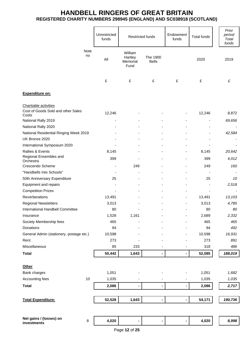|                                             |            |                          |                                        | Restricted funds         | Endowment<br>funds | <b>Total funds</b> | Prior<br>period<br>Total<br>funds |
|---------------------------------------------|------------|--------------------------|----------------------------------------|--------------------------|--------------------|--------------------|-----------------------------------|
|                                             | Note<br>no | All                      | William<br>Hartley<br>Memorial<br>Fund | The 1900<br><b>Bells</b> |                    | 2020               | 2019                              |
|                                             |            | £                        | £                                      | £                        | £                  | £                  | £                                 |
| Expenditure on:                             |            |                          |                                        |                          |                    |                    |                                   |
| Charitable activities                       |            |                          |                                        |                          |                    |                    |                                   |
| Cost of Goods Sold and other Sales<br>Costs |            | 12,246                   |                                        |                          |                    | 12,246             | 8,872                             |
| National Rally 2019                         |            | $\overline{\phantom{0}}$ |                                        |                          |                    | $\blacksquare$     | 69,656                            |
| National Rally 2020                         |            |                          |                                        |                          |                    |                    |                                   |
| National Residential Ringing Week 2019      |            |                          |                                        |                          |                    |                    | 42,584                            |
| UK Bronze 2020                              |            |                          |                                        |                          |                    |                    |                                   |
| International Symposium 2020                |            |                          |                                        |                          |                    |                    |                                   |
| Rallies & Events                            |            | 8,145                    |                                        |                          |                    | 8,145              | 20,642                            |
| Regional Ensembles and<br>Orchestra         |            | 399                      |                                        |                          |                    | 399                | 4,012                             |
| Crescendo Scheme                            |            | ۰                        | 249                                    |                          |                    | 249                | 160                               |
| "Handbells Into Schools"                    |            |                          |                                        |                          |                    |                    |                                   |
| 50th Anniversary Expenditure                |            | 25                       |                                        |                          |                    | 25                 | 10                                |
| Equipment and repairs                       |            |                          |                                        |                          |                    |                    | 2,518                             |
| <b>Competition Prizes</b>                   |            |                          |                                        |                          |                    |                    |                                   |
| Reverberations                              |            | 13,491                   |                                        |                          |                    | 13,491             | 13,103                            |
| <b>Regional Newsletters</b>                 |            | 3,013                    |                                        |                          |                    | 3,013              | 4,785                             |
| International Handbell Committee            |            | 80                       |                                        |                          |                    | 80                 | 80                                |
| Insurance                                   |            | 1,528                    | 1,161                                  |                          |                    | 2,689              | 2,332                             |
| Society Membership fees                     |            | 465                      |                                        |                          |                    | 465                | 465                               |
| Donations                                   |            | 94                       |                                        |                          |                    | 94                 | 492                               |
| General Admin (stationery, postage etc.)    |            | 10,598                   |                                        |                          |                    | 10,598             | 16,931                            |
| Rent                                        |            | 273                      |                                        |                          |                    | 273                | 891                               |
| Miscellaneous                               |            | 85                       | 233                                    | ٠                        |                    | 318                | 486                               |
| <b>Total</b>                                |            | 50,442                   | 1,643                                  | $\blacksquare$           |                    | 52,085             | 188,019                           |
| <b>Other</b>                                |            |                          |                                        |                          |                    |                    |                                   |
| Bank charges                                |            | 1,051                    |                                        |                          |                    | 1,051              | 1,682                             |
| Accounting fees                             | 10         | 1,035                    |                                        |                          |                    | 1,035              | 1,035                             |
| <b>Total</b>                                |            | 2,086                    | -                                      | $\blacksquare$           |                    | 2,086              | 2,717                             |
|                                             |            |                          |                                        |                          |                    |                    |                                   |
| <b>Total Expenditure:</b>                   |            | 52,528                   | 1,643                                  | $\overline{a}$           |                    | 54,171             | 190,736                           |
|                                             |            |                          |                                        |                          |                    |                    |                                   |
| Net gains / (losses) on                     | $\bf 8$    | 4,020                    |                                        |                          |                    | 4,020              | 8,998                             |
| investments                                 |            |                          |                                        |                          |                    |                    |                                   |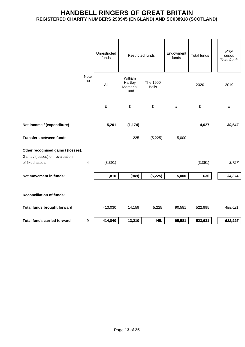|                                                                       |                | Unrestricted<br>funds | <b>Restricted funds</b>                |                          | Endowment<br>funds | <b>Total funds</b> | Prior<br>period<br>Total funds |
|-----------------------------------------------------------------------|----------------|-----------------------|----------------------------------------|--------------------------|--------------------|--------------------|--------------------------------|
|                                                                       | Note<br>no     | All                   | William<br>Hartley<br>Memorial<br>Fund | The 1900<br><b>Bells</b> |                    | 2020               | 2019                           |
|                                                                       |                | £                     | £                                      | £                        | £                  | £                  | £                              |
| Net income / (expenditure)                                            |                | 5,201                 | (1, 174)                               |                          |                    | 4,027              | 30,647                         |
| <b>Transfers between funds</b>                                        |                |                       | 225                                    | (5, 225)                 | 5,000              |                    |                                |
| Other recognised gains / (losses):<br>Gains / (losses) on revaluation |                |                       |                                        |                          |                    |                    |                                |
| of fixed assets                                                       | $\overline{4}$ | (3, 391)              |                                        |                          | $\blacksquare$     | (3, 391)           | 3,727                          |
| Net movement in funds:                                                |                | 1,810                 | (949)                                  | (5, 225)                 | 5,000              | 636                | 34,374                         |
| <b>Reconciliation of funds:</b>                                       |                |                       |                                        |                          |                    |                    |                                |
| Total funds brought forward                                           |                | 413,030               | 14,159                                 | 5,225                    | 90,581             | 522,995            | 488,621                        |
| <b>Total funds carried forward</b>                                    | 9              | 414,840               | 13,210                                 | <b>NIL</b>               | 95,581             | 523,631            | 522,995                        |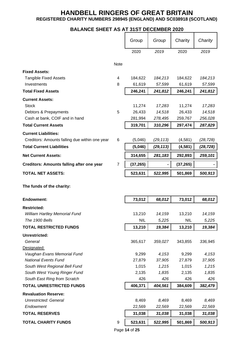## **BALANCE SHEET AS AT 31ST DECEMBER 2020**

|                                                              |                | Group            | Group            | Charity          | Charity          |
|--------------------------------------------------------------|----------------|------------------|------------------|------------------|------------------|
|                                                              |                | 2020             | 2019             | 2020             | 2019             |
|                                                              | Note           |                  |                  |                  |                  |
| <b>Fixed Assets:</b>                                         |                |                  |                  |                  |                  |
| <b>Tangible Fixed Assets</b>                                 | 4              | 184,622          | 184,213          | 184,622          | 184,213          |
| Investments                                                  | 8              | 61,619           | 57,599           | 61,619           | 57,599           |
| <b>Total Fixed Assets</b>                                    |                | 246,241          | 241,812          | 246,241          | 241,812          |
| <b>Current Assets:</b>                                       |                |                  |                  |                  |                  |
| <b>Stock</b>                                                 |                | 11,274           | 17,283           | 11,274           | 17,283           |
| Debtors & Prepayments                                        | 5              | 26,433           | 14,518           | 26,433           | 14,518           |
| Cash at bank, COIF and in hand                               |                | 281,994          | 278,495          | 259,767          | 256,028          |
| <b>Total Current Assets</b>                                  |                | 319,701          | 310,296          | 297,474          | 287,829          |
| <b>Current Liabilities:</b>                                  |                |                  |                  |                  |                  |
| Creditors: Amounts falling due within one year               | 6              | (5,046)          | (29, 113)        | (4,581)          | (28, 728)        |
| <b>Total Current Liabilities</b>                             |                | (5,046)          | (29, 113)        | (4, 581)         | (28, 728)        |
| <b>Net Current Assets:</b>                                   |                | 314,655          | 281,183          | 292,893          | 259,101          |
| <b>Creditors: Amounts falling after one year</b>             | $\overline{7}$ | (37, 265)        |                  | (37, 265)        |                  |
| <b>TOTAL NET ASSETS:</b>                                     |                | 523,631          | 522,995          | 501,869          | 500,913          |
| The funds of the charity:                                    |                |                  |                  |                  |                  |
| <b>Endowment:</b>                                            |                | 73,012           | 68,012           | 73,012           | 68,012           |
| <b>Restricted:</b>                                           |                |                  |                  |                  |                  |
| <b>William Hartley Memorial Fund</b>                         |                | 13,210           | 14,159           | 13,210           | 14,159           |
| The 1900 Bells                                               |                | <b>NIL</b>       | 5,225            | <b>NIL</b>       | 5,225            |
| <b>TOTAL RESTRICTED FUNDS</b>                                |                | 13,210           | 19,384           | 13,210           | 19,384           |
| Unrestricted:                                                |                |                  |                  |                  |                  |
| General                                                      |                | 365,617          | 359,027          | 343,855          | 336,945          |
| Designated:                                                  |                |                  |                  |                  |                  |
| Vaughan Evans Memorial Fund                                  |                | 9,299            | 4,153            | 9,299            | 4,153            |
| <b>National Events Fund</b>                                  |                | 27,879           | 37,905           | 27,879           | 37,905           |
| South West Regional Bell Fund                                |                | 1,015            | 1,215            | 1,015            | 1,215            |
| South West Young Ringer Fund<br>South East Ring from Scratch |                | 2,135<br>426     | 1,835<br>426     | 2,135<br>426     | 1,835<br>426     |
| <b>TOTAL UNRESTRICTED FUNDS</b>                              |                | 406,371          | 404,561          | 384,609          | 382,479          |
|                                                              |                |                  |                  |                  |                  |
| <b>Revaluation Reserve:</b>                                  |                |                  |                  |                  |                  |
| <b>Unrestricted: General</b>                                 |                | 8,469            | 8,469            | 8,469            | 8,469            |
| Endowment<br><b>TOTAL RESERVES</b>                           |                | 22,569<br>31,038 | 22,569<br>31,038 | 22,569<br>31,038 | 22,569<br>31,038 |
| <b>TOTAL CHARITY FUNDS</b>                                   |                |                  |                  |                  |                  |
|                                                              | 9              | 523,631          | 522,995          | 501,869          | 500,913          |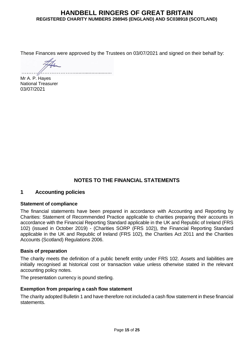These Finances were approved by the Trustees on 03/07/2021 and signed on their behalf by:

Mr A. P. Hayes National Treasurer 03/07/2021

## **NOTES TO THE FINANCIAL STATEMENTS**

### **1 Accounting policies**

#### **Statement of compliance**

The financial statements have been prepared in accordance with Accounting and Reporting by Charities: Statement of Recommended Practice applicable to charities preparing their accounts in accordance with the Financial Reporting Standard applicable in the UK and Republic of Ireland (FRS 102) (issued in October 2019) - (Charities SORP (FRS 102)), the Financial Reporting Standard applicable in the UK and Republic of Ireland (FRS 102), the Charities Act 2011 and the Charities Accounts (Scotland) Regulations 2006.

#### **Basis of preparation**

The charity meets the definition of a public benefit entity under FRS 102. Assets and liabilities are initially recognised at historical cost or transaction value unless otherwise stated in the relevant accounting policy notes.

The presentation currency is pound sterling.

#### **Exemption from preparing a cash flow statement**

The charity adopted Bulletin 1 and have therefore not included a cash flow statement in these financial statements.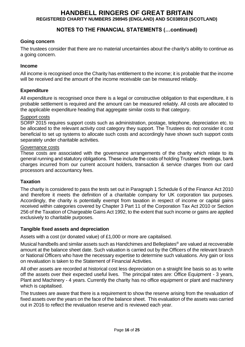## **NOTES TO THE FINANCIAL STATEMENTS (…continued)**

#### **Going concern**

The trustees consider that there are no material uncertainties about the charity's ability to continue as a going concern.

#### **Income**

All income is recognised once the Charity has entitlement to the income; it is probable that the income will be received and the amount of the income receivable can be measured reliably.

#### **Expenditure**

All expenditure is recognised once there is a legal or constructive obligation to that expenditure, it is probable settlement is required and the amount can be measured reliably. All costs are allocated to the applicable expenditure heading that aggregate similar costs to that category.

#### Support costs

SORP 2015 requires support costs such as administration, postage, telephone, depreciation etc. to be allocated to the relevant activity cost category they support. The Trustees do not consider it cost beneficial to set up systems to allocate such costs and accordingly have shown such support costs separately under charitable activities.

#### Governance costs

These costs are associated with the governance arrangements of the charity which relate to its general running and statutory obligations. These include the costs of holding Trustees' meetings, bank charges incurred from our current account holders, transaction & service charges from our card processors and accountancy fees.

#### **Taxation**

The charity is considered to pass the tests set out in Paragraph 1 Schedule 6 of the Finance Act 2010 and therefore it meets the definition of a charitable company for UK corporation tax purposes. Accordingly, the charity is potentially exempt from taxation in respect of income or capital gains received within categories covered by Chapter 3 Part 11 of the Corporation Tax Act 2010 or Section 256 of the Taxation of Chargeable Gains Act 1992, to the extent that such income or gains are applied exclusively to charitable purposes.

#### **Tangible fixed assets and depreciation**

Assets with a cost (or donated value) of £1,000 or more are capitalised.

Musical handbells and similar assets such as Handchimes and Belleplates® are valued at recoverable amount at the balance sheet date. Such valuation is carried out by the Officers of the relevant branch or National Officers who have the necessary expertise to determine such valuations. Any gain or loss on revaluation is taken to the Statement of Financial Activities.

All other assets are recorded at historical cost less depreciation on a straight line basis so as to write off the assets over their expected useful lives. The principal rates are: Office Equipment - 3 years, Plant and Machinery - 4 years. Currently the charity has no office equipment or plant and machinery which is capitalised.

The trustees are aware that there is a requirement to show the reserve arising from the revaluation of fixed assets over the years on the face of the balance sheet. This evaluation of the assets was carried out in 2016 to reflect the revaluation reserve and is reviewed each year.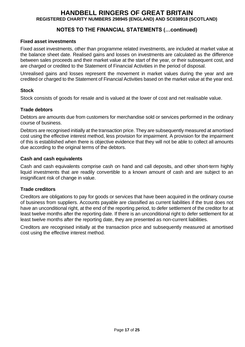## **NOTES TO THE FINANCIAL STATEMENTS (…continued)**

#### **Fixed asset investments**

Fixed asset investments, other than programme related investments, are included at market value at the balance sheet date. Realised gains and losses on investments are calculated as the difference between sales proceeds and their market value at the start of the year, or their subsequent cost, and are charged or credited to the Statement of Financial Activities in the period of disposal.

Unrealised gains and losses represent the movement in market values during the year and are credited or charged to the Statement of Financial Activities based on the market value at the year end.

#### **Stock**

Stock consists of goods for resale and is valued at the lower of cost and net realisable value.

#### **Trade debtors**

Debtors are amounts due from customers for merchandise sold or services performed in the ordinary course of business.

Debtors are recognised initially at the transaction price. They are subsequently measured at amortised cost using the effective interest method, less provision for impairment. A provision for the impairment of this is established when there is objective evidence that they will not be able to collect all amounts due according to the original terms of the debtors.

#### **Cash and cash equivalents**

Cash and cash equivalents comprise cash on hand and call deposits, and other short-term highly liquid investments that are readily convertible to a known amount of cash and are subject to an insignificant risk of change in value.

#### **Trade creditors**

Creditors are obligations to pay for goods or services that have been acquired in the ordinary course of business from suppliers. Accounts payable are classified as current liabilities if the trust does not have an unconditional right, at the end of the reporting period, to defer settlement of the creditor for at least twelve months after the reporting date. If there is an unconditional right to defer settlement for at least twelve months after the reporting date, they are presented as non-current liabilities.

Creditors are recognised initially at the transaction price and subsequently measured at amortised cost using the effective interest method.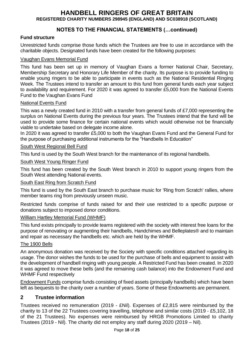## **NOTES TO THE FINANCIAL STATEMENTS (…continued)**

#### **Fund structure**

Unrestricted funds comprise those funds which the Trustees are free to use in accordance with the charitable objects. Designated funds have been created for the following purposes:

#### Vaughan Evans Memorial Fund

This fund has been set up in memory of Vaughan Evans a former National Chair, Secretary, Membership Secretary and Honorary Life Member of the charity. Its purpose is to provide funding to enable young ringers to be able to participate in events such as the National Residential Ringing Week. The Trustees intend to transfer an amount to this fund from general funds each year subject to availability and requirement. For 2020 it was agreed to transfer £5,000 from the National Events Fund to the Vaughan Evans Fund

#### National Events Fund

This was a newly created fund in 2010 with a transfer from general funds of £7,000 representing the surplus on National Events during the previous four years. The Trustees intend that the fund will be used to provide some finance for certain national events which would otherwise not be financially viable to undertake based on delegate income alone.

In 2020 it was agreed to transfer £5,000 to both the Vaughan Evans Fund and the General Fund for the purpose of purchasing additional instruments for the "Handbells In Education"

#### South West Regional Bell Fund

This fund is used by the South West branch for the maintenance of its regional handbells.

#### South West Young Ringer Fund

This fund has been created by the South West branch in 2010 to support young ringers from the South West attending National events.

#### South East Ring from Scratch Fund

This fund is used by the South East branch to purchase music for 'Ring from Scratch' rallies, where member teams ring from previously unseen music.

Restricted funds comprise of funds raised for and their use restricted to a specific purpose or donations subject to imposed donor conditions.

#### William Hartley Memorial Fund (WHMF)

This fund exists principally to provide teams registered with the society with interest free loans for the purpose of renovating or augmenting their handbells, Handchimes and Belleplates® and to maintain and repair as necessary the handbells etc. which are held by the WHMF.

#### The 1900 Bells

An anonymous donation was received by the Society with specific conditions attached regarding its usage. The donor wishes the funds to be used for the purchase of bells and equipment to assist with the development of handbell ringing with young people. A Restricted Fund has been created. In 2020 it was agreed to move these bells (and the remaining cash balance) into the Endowment Fund and WHMF Fund respectively

Endowment Funds comprise funds consisting of fixed assets (principally handbells) which have been left as bequests to the charity over a number of years. Some of these Endowments are permanent.

#### **2 Trustee information**

Trustees received no remuneration (2019 - £Nil). Expenses of £2,815 were reimbursed by the charity to 13 of the 22 Trustees covering travelling, telephone and similar costs (2019 - £5,102, 18 of the 21 Trustees). No expenses were reimbursed by HRGB Promotions Limited to charity Trustees (2019 - Nil). The charity did not employ any staff during 2020 (2019 – Nil).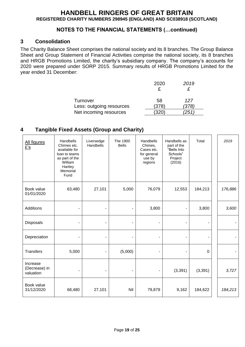### **NOTES TO THE FINANCIAL STATEMENTS (…continued)**

### **3 Consolidation**

The Charity Balance Sheet comprises the national society and its 8 branches. The Group Balance Sheet and Group Statement of Financial Activities comprise the national society, its 8 branches and HRGB Promotions Limited, the charity's subsidiary company. The company's accounts for 2020 were prepared under SORP 2015. Summary results of HRGB Promotions Limited for the year ended 31 December:

|                          | 2020  | 2019 |
|--------------------------|-------|------|
|                          |       |      |
| Turnover                 | 58    | 127  |
| Less: outgoing resources | (378) | 378) |
| Net incoming resources   | 320   |      |

## **4 Tangible Fixed Assets (Group and Charity)**

| All figures<br>£'s                     | Handbells<br>Chimes etc.<br>available for<br>loan to teams<br>as part of the<br>William<br>Hartley<br>Memorial<br>Fund | Liversedge<br>Handbells | The 1900<br><b>Bells</b> | Handbells<br>Chimes,<br>Cases etc.<br>for general<br>use by<br>regions | Handbells as<br>part of the<br>"Bells Into<br>Schools"<br>Project<br>(2016) | Total    | 2019    |
|----------------------------------------|------------------------------------------------------------------------------------------------------------------------|-------------------------|--------------------------|------------------------------------------------------------------------|-----------------------------------------------------------------------------|----------|---------|
| Book value<br>01/01/2020               | 63,480                                                                                                                 | 27,101                  | 5,000                    | 76,079                                                                 | 12,553                                                                      | 184,213  | 176,886 |
| Additions                              |                                                                                                                        |                         |                          | 3,800                                                                  |                                                                             | 3,800    | 3,600   |
| Disposals                              |                                                                                                                        |                         |                          |                                                                        |                                                                             |          |         |
| Depreciation                           |                                                                                                                        |                         | $\overline{a}$           |                                                                        |                                                                             |          |         |
| <b>Transfers</b>                       | 5,000                                                                                                                  |                         | (5,000)                  |                                                                        |                                                                             | 0        |         |
| Increase<br>(Decrease) in<br>valuation | $\blacksquare$                                                                                                         |                         | ٠                        | ٠                                                                      | (3, 391)                                                                    | (3, 391) | 3,727   |
| Book value<br>31/12/2020               | 68,480                                                                                                                 | 27,101                  | Nil                      | 79,879                                                                 | 9,162                                                                       | 184,622  | 184,213 |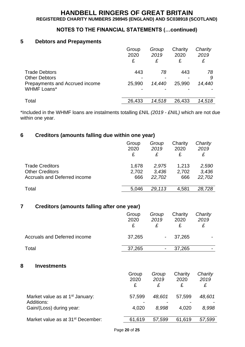## **NOTES TO THE FINANCIAL STATEMENTS (…continued)**

#### **5 Debtors and Prepayments**

|                                              | Group<br>2020<br>£ | Group<br>2019<br>£ | Charity<br>2020<br>£ | Charity<br>2019<br>£ |
|----------------------------------------------|--------------------|--------------------|----------------------|----------------------|
| <b>Trade Debtors</b><br><b>Other Debtors</b> | 443                | 78                 | 443                  | 78                   |
| Prepayments and Accrued income               | 25,990             | 14,440             | 25,990               | 9<br>14,440          |
| <b>WHMF Loans*</b>                           |                    |                    |                      |                      |
| Total                                        | 26,433             | 14,518             | 26,433               | 14,518               |

\*Included in the WHMF loans are instalments totalling £NIL *(2019 - £NIL)* which are not due within one year.

## **6 Creditors (amounts falling due within one year)**

|                              | Group<br>2020<br>£ | Group<br>2019<br>£ | Charity<br>2020<br>£ | Charity<br>2019 |
|------------------------------|--------------------|--------------------|----------------------|-----------------|
| <b>Trade Creditors</b>       | 1,678              | 2.975              | 1,213                | 2,590           |
| <b>Other Creditors</b>       | 2,702              | 3.436              | 2,702                | 3,436           |
| Accruals and Deferred income | 666                | 22,702             | 666                  | 22,702          |
| Total                        | 5,046              | 29.113             | 4,581                | 28,728          |
|                              |                    |                    |                      |                 |

## **7 Creditors (amounts falling after one year)**

|                                                                  | Group<br>2020<br>£ | Group<br>2019<br>£ | Charity<br>2020<br>£ | Charity<br>2019<br>£ |
|------------------------------------------------------------------|--------------------|--------------------|----------------------|----------------------|
| <b>Accruals and Deferred income</b>                              | 37,265             | -                  | 37,265               |                      |
| Total                                                            | 37,265             | -                  | 37,265               |                      |
| 8<br><b>Investments</b>                                          | Group<br>2020<br>£ | Group<br>2019<br>£ | Charity<br>2020<br>£ | Charity<br>2019<br>£ |
| Market value as at 1 <sup>st</sup> January:<br><b>Additions:</b> | 57,599             | 48,601             | 57,599               | 48,601               |
| Gain/(Loss) during year:                                         | 4,020              | 8,998              | 4,020                | 8,998                |
| Market value as at 31 <sup>st</sup> December:                    | 61,619             | 57,599             | 61,619               | 57,599               |
|                                                                  |                    |                    |                      |                      |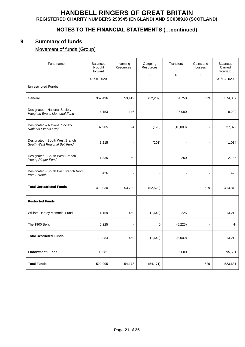## **NOTES TO THE FINANCIAL STATEMENTS (…continued)**

## **9 Summary of funds**

Movement of funds (Group)

| Fund name                                                       | <b>Balances</b><br>brought<br>forward<br>£<br>01/01/2020 | Incoming<br><b>Resources</b><br>£ | Outgoing<br>Resources<br>£ | Transfers<br>£           | Gains and<br>Losses<br>£ | <b>Balances</b><br>Carried<br>Forward<br>£<br>31/12/2020 |
|-----------------------------------------------------------------|----------------------------------------------------------|-----------------------------------|----------------------------|--------------------------|--------------------------|----------------------------------------------------------|
| <b>Unrestricted Funds</b>                                       |                                                          |                                   |                            |                          |                          |                                                          |
| General                                                         | 367,496                                                  | 53,419                            | (52, 207)                  | 4,750                    | 629                      | 374,087                                                  |
| Designated - National Society<br>Vaughan Evans Memorial Fund    | 4,153                                                    | 146                               |                            | 5,000                    |                          | 9,299                                                    |
| Designated - National Society<br>National Events Fund           | 37,905                                                   | 94                                | (120)                      | (10,000)                 |                          | 27,879                                                   |
| Designated - South West Branch<br>South West Regional Bell Fund | 1,215                                                    |                                   | (201)                      | $\overline{a}$           |                          | 1,014                                                    |
| Designated - South West Branch<br>Young Ringer Fund             | 1,835                                                    | 50                                |                            | 250                      | ä,                       | 2,135                                                    |
| Designated - South East Branch Ring<br>from Scratch             | 426                                                      | ÷,                                | $\overline{a}$             | $\overline{\phantom{a}}$ | Ĭ.                       | 426                                                      |
| <b>Total Unrestricted Funds</b>                                 | 413,030                                                  | 53,709                            | (52, 528)                  | $\blacksquare$           | 629                      | 414,840                                                  |
| <b>Restricted Funds</b>                                         |                                                          |                                   |                            |                          |                          |                                                          |
| William Hartley Memorial Fund                                   | 14,159                                                   | 469                               | (1,643)                    | 225                      | $\overline{a}$           | 13,210                                                   |
| The 1900 Bells                                                  | 5,225                                                    | $\overline{a}$                    | 0                          | (5,225)                  | ä,                       | Nil                                                      |
| <b>Total Restricted Funds</b>                                   | 19,384                                                   | 469                               | (1,643)                    | (5,000)                  | Ĭ.                       | 13,210                                                   |
| <b>Endowment Funds</b>                                          | 90,581                                                   |                                   |                            | 5,000                    |                          | 95,581                                                   |
| <b>Total Funds</b>                                              | 522,995                                                  | 54,178                            | (54, 171)                  | $\sim$                   | 629                      | 523,631                                                  |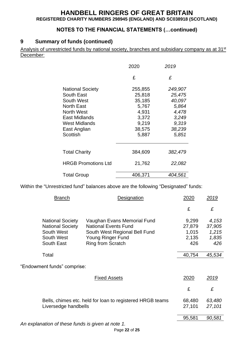## **NOTES TO THE FINANCIAL STATEMENTS (…continued)**

## **9 Summary of funds (continued)**

Analysis of unrestricted funds by national society, branches and subsidiary company as at 31<sup>st</sup> December:

|                            | 2020    | 2019    |
|----------------------------|---------|---------|
|                            | £       | £       |
| <b>National Society</b>    | 255,855 | 249,907 |
| South East                 | 25,818  | 25,475  |
| South West                 | 35,185  | 40,097  |
| <b>North East</b>          | 5,767   | 5,864   |
| North West                 | 4,931   | 4,478   |
| East Midlands              | 3,372   | 3,249   |
| <b>West Midlands</b>       | 9,219   | 9,319   |
| East Anglian               | 38,575  | 38,239  |
| Scottish                   | 5,887   | 5,851   |
| <b>Total Charity</b>       | 384,609 | 382,479 |
| <b>HRGB Promotions Ltd</b> | 21,762  | 22,082  |
| <b>Total Group</b>         | 406,371 | 404,561 |

Within the "Unrestricted fund" balances above are the following "Designated" funds:

| <b>Branch</b>                                                                                | <b>Designation</b>                                                                                                                    | <u> 2020</u>                             | 2019                                     |
|----------------------------------------------------------------------------------------------|---------------------------------------------------------------------------------------------------------------------------------------|------------------------------------------|------------------------------------------|
|                                                                                              |                                                                                                                                       | £                                        | £                                        |
| <b>National Society</b><br><b>National Society</b><br>South West<br>South West<br>South East | Vaughan Evans Memorial Fund<br><b>National Events Fund</b><br>South West Regional Bell Fund<br>Young Ringer Fund<br>Ring from Scratch | 9,299<br>27,879<br>1,015<br>2,135<br>426 | 4,153<br>37,905<br>1,215<br>1,835<br>426 |
| Total                                                                                        |                                                                                                                                       | 40,754                                   | 45,534                                   |
| "Endowment funds" comprise:                                                                  |                                                                                                                                       |                                          |                                          |
|                                                                                              | <b>Fixed Assets</b>                                                                                                                   | 2020                                     | 2019                                     |
|                                                                                              |                                                                                                                                       | £                                        | £                                        |
| Bells, chimes etc. held for loan to registered HRGB teams<br>Liversedge handbells            |                                                                                                                                       | 68,480<br>27,101                         | 63,480<br>27,101                         |
|                                                                                              |                                                                                                                                       | 95,581                                   | 90,581                                   |
| An ovelapation of those funds is given at note 1                                             |                                                                                                                                       |                                          |                                          |

*An explanation of these funds is given at note 1.*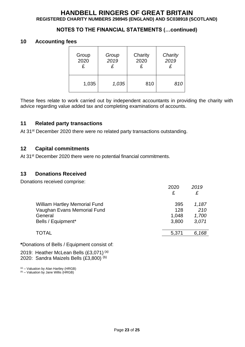## **NOTES TO THE FINANCIAL STATEMENTS (…continued)**

#### **10 Accounting fees**

| Group | Group | Charity | Charity |  |
|-------|-------|---------|---------|--|
| 2020  | 2019  | 2020    | 2019    |  |
| £     | £     | £       | £       |  |
| 1,035 | 1,035 | 810     | 810     |  |

These fees relate to work carried out by independent accountants in providing the charity with advice regarding value added tax and completing examinations of accounts.

#### **11 Related party transactions**

At 31<sup>st</sup> December 2020 there were no related party transactions outstanding.

#### **12 Capital commitments**

At 31<sup>st</sup> December 2020 there were no potential financial commitments.

#### **13 Donations Received**

Donations received comprise:

|                                      | 2020<br>£ | 2019<br>£ |
|--------------------------------------|-----------|-----------|
| <b>William Hartley Memorial Fund</b> | 395       | 1,187     |
| Vaughan Evans Memorial Fund          | 128       | 210       |
| General                              | 1,048     | 1,700     |
| Bells / Equipment*                   | 3,800     | 3,071     |
| <b>TOTAL</b>                         | 5,371     | 6,168     |

**\***Donations of Bells / Equipment consist of:

2019: Heather McLean Bells (£3,071)<sup>(a)</sup> 2020: Sandra Maizels Bells (£3,800) (b)

 $(a)$  – Valuation by Alan Hartley (HRGB)

(b) – Valuation by Jane Willis (HRGB)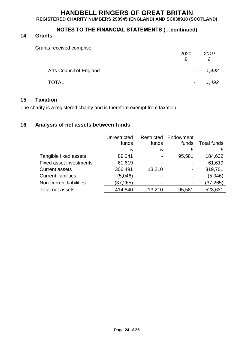## **NOTES TO THE FINANCIAL STATEMENTS (…continued)**

## **14 Grants**

Grants received comprise:

|                         | 2020<br>₽                | 2019  |
|-------------------------|--------------------------|-------|
| Arts Council of England | $\sim$                   | 1,492 |
| <b>TOTAL</b>            | $\overline{\phantom{0}}$ |       |

#### **15 Taxation**

The charity is a registered charity and is therefore exempt from taxation

## **16 Analysis of net assets between funds**

|                                | Unrestricted | Restricted     | Endowment      |                    |
|--------------------------------|--------------|----------------|----------------|--------------------|
|                                | funds        | funds          | funds          | <b>Total funds</b> |
|                                | £            | £              | £              |                    |
| Tangible fixed assets          | 89,041       | $\blacksquare$ | 95,581         | 184,622            |
| <b>Fixed asset investments</b> | 61,619       | -              |                | 61,619             |
| <b>Current assets</b>          | 306,491      | 13,210         |                | 319,701            |
| <b>Current liabilities</b>     | (5,046)      |                | $\blacksquare$ | (5,046)            |
| Non-current liabilities        | (37, 265)    |                |                | (37, 265)          |
| Total net assets               | 414,840      | 13,210         | 95,581         | 523,631            |